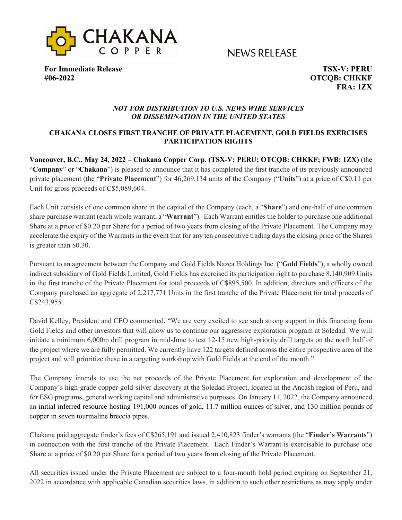

NEWS RELEASE

**For Immediate Release TSX-V: PERU #06-2022 OTCQB: CHKKF**

**FRA: 1ZX**

### *NOT FOR DISTRIBUTION TO U.S. NEWS WIRE SERVICES OR DISSEMINATION IN THE UNITED STATES*

# **CHAKANA CLOSES FIRST TRANCHE OF PRIVATE PLACEMENT, GOLD FIELDS EXERCISES PARTICIPATION RIGHTS**

**Vancouver, B.C., May 24, 2022 – Chakana Copper Corp. (TSX-V: PERU; OTCQB: CHKKF; FWB: 1ZX)** (the "**Company**" or "**Chakana**") is pleased to announce that it has completed the first tranche of its previously announced private placement (the "**Private Placement**") for 46,269,134 units of the Company ("**Units**") at a price of C\$0.11 per Unit for gross proceeds of C\$5,089,604.

Each Unit consists of one common share in the capital of the Company (each, a "**Share**") and one-half of one common share purchase warrant (each whole warrant, a "**Warrant**"). Each Warrant entitles the holder to purchase one additional Share at a price of \$0.20 per Share for a period of two years from closing of the Private Placement. The Company may accelerate the expiry of the Warrants in the event that for any ten consecutive trading days the closing price of the Shares is greater than \$0.30.

Pursuant to an agreement between the Company and Gold Fields Nazca Holdings Inc. ("**Gold Fields**"), a wholly owned indirect subsidiary of Gold Fields Limited, Gold Fields has exercised its participation right to purchase 8,140,909 Units in the first tranche of the Private Placement for total proceeds of C\$895,500. In addition, directors and officers of the Company purchased an aggregate of 2,217,771 Units in the first tranche of the Private Placement for total proceeds of C\$243,955.

David Kelley, President and CEO commented, "We are very excited to see such strong support in this financing from Gold Fields and other investors that will allow us to continue our aggressive exploration program at Soledad. We will initiate a minimum 6,000m drill program in mid-June to test 12-15 new high-priority drill targets on the north half of the project where we are fully permitted. We currently have 122 targets defined across the entire prospective area of the project and will prioritize these in a targeting workshop with Gold Fields at the end of the month."

The Company intends to use the net proceeds of the Private Placement for exploration and development of the Company's high-grade copper-gold-silver discovery at the Soledad Project, located in the Ancash region of Peru, and for ESG programs, general working capital and administrative purposes. On January 11, 2022, the Company announced an initial inferred resource hosting 191,000 ounces of gold, 11.7 million ounces of silver, and 130 million pounds of copper in seven tourmaline breccia pipes.

Chakana paid aggregate finder's fees of C\$265,191 and issued 2,410,823 finder's warrants (the "**Finder's Warrants**") in connection with the first tranche of the Private Placement. Each Finder's Warrant is exercisable to purchase one Share at a price of \$0.20 per Share for a period of two years from closing of the Private Placement.

All securities issued under the Private Placement are subject to a four-month hold period expiring on September 21, 2022 in accordance with applicable Canadian securities laws, in addition to such other restrictions as may apply under